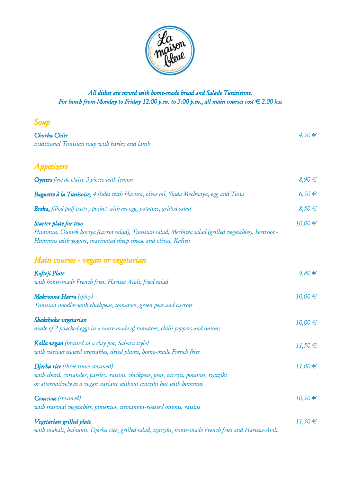

## All dishes are served with home-made bread and Salade Tunisienne. For lunch from Monday to Friday 12:00 p.m. to 3:00 p.m., all main courses cost  $\in$  2.00 less

| Soup                                                                                                                                                                                               |             |
|----------------------------------------------------------------------------------------------------------------------------------------------------------------------------------------------------|-------------|
| Chorba Chiir<br>traditional Tunisian soup with barley and lamb                                                                                                                                     | $4,50 \in$  |
| Appetizers                                                                                                                                                                                         |             |
| <b>Oysters</b> fine de claire 3 pieces with lemon                                                                                                                                                  | $8,90 \in$  |
| <b>Baguette à la Tunisoise,</b> 4 slides with Harissa, olive oil, Slada Mechwiya, egg and Tuna                                                                                                     | $6,50 \in$  |
| <b>Breka,</b> filled puff pastry pocket with an egg, potatoes, grilled salad                                                                                                                       | $8,50 \in$  |
| Starter plate for two<br>Hummus, Oumek horiya (carrot salad), Tunisian salad, Mechiwa salad (grilled vegetables), beetroot -<br>Hummus with yogurt, marinated sheep cheese and olives, Kafteji     | 10,00€      |
| Main courses - vegan or vegetarian                                                                                                                                                                 |             |
| Kafteji Plate<br>with home-made French fries, Harissa Aioli, fried salad                                                                                                                           | $9,80 \in$  |
| Makrouna Harra (spicy)<br>Tunisian noodles with chickpeas, tomatoes, green peas and carrots                                                                                                        | 10,00 €     |
| Shakshuka vegetarian<br>made of 2 poached eggs in a sauce made of tomatoes, chilli peppers and onions                                                                                              | 10,00€      |
| Kolla vegan (braised in a clay pot, Sahara style)<br>with various stewed vegetables, dried plums, home-made French fries                                                                           | 11,50€      |
| Djerba rice (three times steamed)<br>with chard, coriander, parsley, raisins, chickpeas, peas, carrots, potatoes, tzatziki<br>or alternatively as a vegan variant without tzatziki but with hummus | $11,00 \in$ |
| <b>Couscous</b> (steamed)<br>with seasonal vegetables, pimentos, cinnamon-roasted onions, raisins                                                                                                  | 10,50€      |
| Vegetarian grilled plate<br>with makali, haloumi, Djerba rice, grilled salad, tzatziki, home-made French fries and Harissa-Aioli                                                                   | 11,50€      |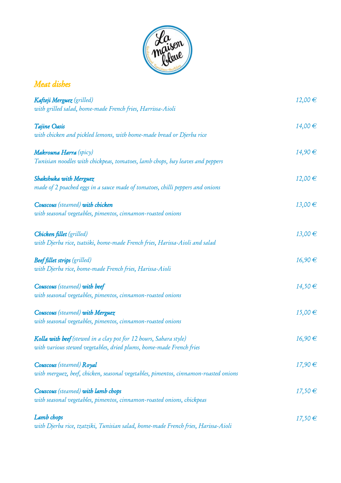

| Meat dishes                                                                                                                              |             |
|------------------------------------------------------------------------------------------------------------------------------------------|-------------|
| Kafteji Merguez (grilled)<br>with grilled salad, home-made French fries, Harrissa-Aioli                                                  | 12,00€      |
| Tajine Oasis<br>with chicken and pickled lemons, with home-made bread or Djerba rice                                                     | 14,00 €     |
| Makrouna Harra (spicy)<br>Tunisian noodles with chickpeas, tomatoes, lamb chops, bay leaves and peppers                                  | 14,90 €     |
| Shakshuka with Merguez<br>made of 2 poached eggs in a sauce made of tomatoes, chilli peppers and onions                                  | 12,00€      |
| <b>Couscous</b> (steamed) with chicken<br>with seasonal vegetables, pimentos, cinnamon-roasted onions                                    | 13,00€      |
| Chicken fillet (grilled)<br>with Djerba rice, tsatsiki, home-made French fries, Harissa-Aioli and salad                                  | 13,00€      |
| <b>Beef fillet strips</b> (grilled)<br>with Djerba rice, home-made French fries, Harissa-Aioli                                           | 16,90€      |
| <b>Couscous</b> (steamed) with beef<br>with seasonal vegetables, pimentos, cinnamon-roasted onions                                       | 14,50€      |
| <b>Couscous</b> (steamed) with Merguez<br>with seasonal vegetables, pimentos, cinnamon-roasted onions                                    | $15,00 \in$ |
| Kolla with beef (stewed in a clay pot for 12 hours, Sahara style)<br>with various stewed vegetables, dried plums, home-made French fries | 16,90€      |
| <b>Couscous</b> (steamed) Royal<br>with merguez, beef, chicken, seasonal vegetables, pimentos, cinnamon-roasted onions                   | 17,90€      |
| <b>Couscous</b> (steamed) with lamb chops<br>with seasonal vegetables, pimentos, cinnamon-roasted onions, chickpeas                      | 17,50€      |
| Lamb chops<br>with Djerba rice, tzatziki, Tunisian salad, home-made French fries, Harissa-Aioli                                          | 17,50€      |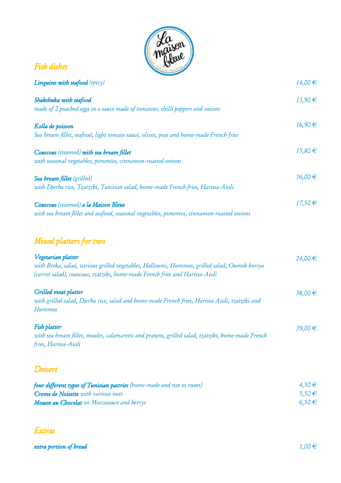

| <b>Fish dishes</b>                                                                                                                                                                                 |             |
|----------------------------------------------------------------------------------------------------------------------------------------------------------------------------------------------------|-------------|
| <b>Linguine with seafood</b> (spicy)                                                                                                                                                               | 14,00 €     |
| Shakshuka with seafood<br>made of 2 poached eggs in a sauce made of tomatoes, chilli peppers and onions                                                                                            | 13,90 €     |
| Kolla de poisson<br>Sea bream fillet, seafood, light tomato sauce, olives, peas and home-made French fries                                                                                         | 16,90 €     |
| Couscous (steamed) with sea bream fillet<br>with seasonal vegetables, pimentos, cinnamon-roasted onions                                                                                            | $15,80 \in$ |
| Sea bream fillet (grilled)<br>with Djerba rice, Tzatziki, Tunisian salad, home-made French fries, Harissa-Aioli                                                                                    | 16,00 €     |
| Couscous (steamed) a la Maison Bleue<br>with sea bream fillet and seafood, seasonal vegetables, pimentos, cinnamon-roasted onions                                                                  | 17,50€      |
| Mixed platters for two                                                                                                                                                                             |             |
| Vegetarian platter<br>with Breka, salad, various grilled vegetables, Halloumi, Hummus, grilled salad, Oumek horiya<br>(carrot salad), couscous, tzatziki, home-made French fries and Harissa-Aioli | 24,00 €     |
| Grilled meat platter<br>with grilled salad, Djerba rice, salad and home-made French fries, Harissa-Aioli, tzatziki and<br><b>Hummus</b>                                                            | 38,00€      |
| Fish platter<br>with sea bream fillet, moules, calamaretti and prawns, grilled salad, tzatziki, home-made French<br>fries, Harissa-Aioli                                                           | 39,00 €     |
| Dessert                                                                                                                                                                                            |             |

| four different types of Tunisian pastries (home-made and not so sweet) | $4,50 \in$ |
|------------------------------------------------------------------------|------------|
| <b>Creme de Noisette</b> with various nuts                             | $5,50 \in$ |
| <b>Mousse au Chocolat</b> on Moccasauce and berrys                     | $6,50 \in$ |

## Extras

extra portion of bread  $1,00 \in$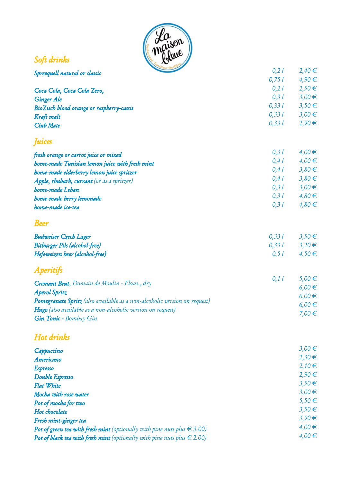

## Soft drinks

| Spreequell natural or classic                                             | 0, 2 l | $2,40 \in$ |
|---------------------------------------------------------------------------|--------|------------|
|                                                                           | 0,751  | $4,90 \in$ |
| Coca Cola, Coca Cola Zero,                                                | 0, 21  | $2,50 \in$ |
| <b>Ginger Ale</b>                                                         | 0, 31  | $3,00 \in$ |
| BioZisch blood orange or raspberry-cassis                                 | 0,331  | $3,50 \in$ |
| Kraft malt                                                                | 0,331  | $3,00 \in$ |
| Club Mate                                                                 | 0,331  | $2,90 \in$ |
| <i><b>Juices</b></i>                                                      |        |            |
| fresh orange or carrot juice or mixed                                     | 0, 31  | $4,00 \in$ |
| home-made Tunisian lemon juice with fresh mint                            | 0, 41  | $4,00 \in$ |
| home-made elderberry lemon juice spritzer                                 | 0, 41  | $3,80 \in$ |
| Apple, rhubarb, currant (or as a spritzer)                                | 0,41   | $3,80 \in$ |
| home-made Leban                                                           | 0, 3 l | $3,00 \in$ |
| home-made berry lemonade                                                  | 0, 31  | $4,80 \in$ |
| home-made ice-tea                                                         | 0, 31  | $4,80 \in$ |
| <b>Beer</b>                                                               |        |            |
| <b>Budweiser Czech Lager</b>                                              | 0,331  | $3,50 \in$ |
| <b>Bitburger Pils (alcohol-free)</b>                                      | 0,331  | $3,20 \in$ |
| Hefeweizen beer (alcohol-free)                                            | 0, 51  | $4,50 \in$ |
| <b>Aperitifs</b>                                                          |        |            |
| Cremant Brut, Domain de Moulin - Elsass., dry                             | 0,11   | $5,00 \in$ |
| <b>Aperol Spritz</b>                                                      |        | $6,00 \in$ |
| Pomegranate Spritz (also available as a non-alcobolic version on request) |        | $6,00 \in$ |
| Hugo (also available as a non-alcoholic version on request)               |        | $6,00 \in$ |
| Gin Tonic - Bombay Gin                                                    |        | 7,00€      |
| Hot drinks                                                                |        |            |
|                                                                           |        | 2.02.0     |

| Cappuccino                                                                          | $3,00 \in$ |
|-------------------------------------------------------------------------------------|------------|
| Americano                                                                           | $2,30 \in$ |
| <b>Espresso</b>                                                                     | $2,10 \in$ |
| Double Espresso                                                                     | $2,90 \in$ |
| <b>Flat White</b>                                                                   | $3,50 \in$ |
| Mocha with rose water                                                               | $3,00 \in$ |
| Pot of mocha for two                                                                | $5,50 \in$ |
| Hot chocolate                                                                       | $3,50 \in$ |
| Fresh mint-ginger tea                                                               | $3,50 \in$ |
| <b>Pot of green tea with fresh mint</b> (optionally with pine nuts plus $\in$ 3.00) | $4,00 \in$ |
| Pot of black tea with fresh mint (optionally with pine nuts plus $\in$ 2.00)        | $4,00 \in$ |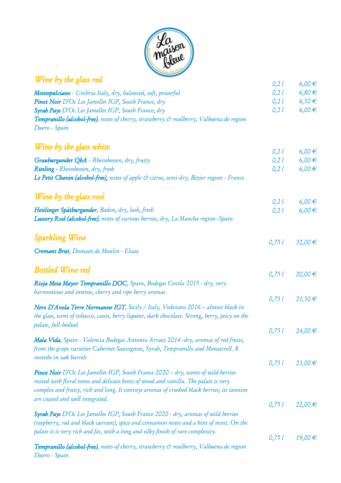

## Wine by the glass red Montepulciano - Umbria Italy, dry, balanced, soft, powerful Pinot Noir D'Oc Les Jamelles IGP, South France, dry Syrah Pays D`Oc Les Jamelles IGP, South France, dry Tempranillo (alcohol-free), notes of cherry, strawberry & mulberry, Valbuena de region Duero - Spain Wine by the glass white Grauburgunder QbA - Rheinhessen, dry, fruity Riesling - Rheinhessen, dry, fresh Le Petit Chavin (alcohol-free), notes of apple  $\phi$  citrus, semi-dry, Bézier region - France Wine by the glass rosé Heitlinger Spätburgunder, Baden, dry, lush, fresh Lussory Rosé (alcohol-free), notes of various berries, dry, La Mancha region -Spain Sparkling Wine Cremant Brut, Domain de Moulin - Elsass. Bottled Wine red Rioja Mesa Mayor Tempranillo DOC, Spain, Bodegas Covila 2015 - dry, very harmonious and intense, cherry and ripe berry aromas Nero D`Avola Terre Normanne IGT, Sicily / Italy, Vedovato 2016 – almost black in the glass, scent of tobacco, cassis, berry liqueur, dark chocolate. Strong, berry, juicy on the palate, full-bodied Mala Vida, Spain - Valencia Bodegas Antonio Arraez 2014 -dry, aromas of red fruits, from the grape varieties Cabernet Sauvignon, Syrah, Tempranillo and Monastrell. 8 months in oak barrels **Pinot Noir** D'Oc Les Jamelles IGP, South France 2020 – dry, scents of wild berries mixed with floral tones and delicate hints of wood and vanilla. The palate is very complex and fruity, rich and long. It conveys aromas of crushed black berries, its tannins are coated and well integrated. Syrah Pays D'Oc Les Jamelles IGP, South France 2020 - dry, aromas of wild berries (raspberry, red and black currant), spice and cinnamon notes and a hint of mint. On the palate it is very rich and fat, with a long and silky finish of rare complexity. Tempranillo (alcohol-free), notes of cherry, strawberry & mulberry, Valbuena de region 0,2 l 0,2 l 0,2 l 0,2 l 0,2 l 0,2 l 0,2 l 0,2 l 0,2 l 0,75 l 0,75 l 0,75 l 0,75 l 0,75 l 0,75 l 0,75 l 6,00 € 6,80 € 6,50 € 6,00 € 6,00 €  $6,00 \in$ 6,00 € 6,00 €  $6,00 \in$ 32,00 € 20,00 € 21,50 € 24,00 € 23,00 € 22,00 € 19,00 €

Duero - Spain